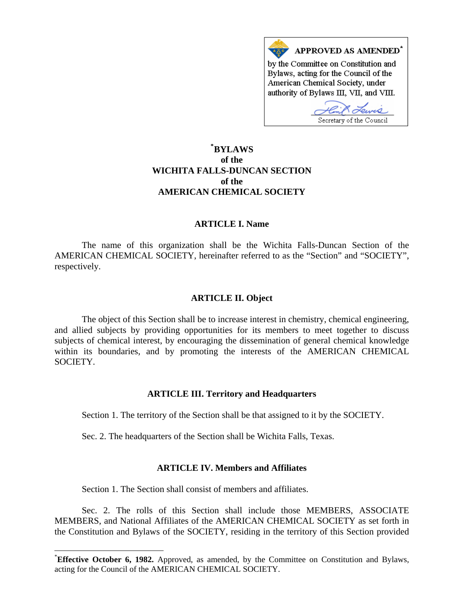

# **\* [BYLAWS](#page-0-0)  of the WICHITA FALLS-DUNCAN SECTION of the AMERICAN CHEMICAL SOCIETY**

### **ARTICLE I. Name**

 The name of this organization shall be the Wichita Falls-Duncan Section of the AMERICAN CHEMICAL SOCIETY, hereinafter referred to as the "Section" and "SOCIETY", respectively.

### **ARTICLE II. Object**

 The object of this Section shall be to increase interest in chemistry, chemical engineering, and allied subjects by providing opportunities for its members to meet together to discuss subjects of chemical interest, by encouraging the dissemination of general chemical knowledge within its boundaries, and by promoting the interests of the AMERICAN CHEMICAL SOCIETY.

### **ARTICLE III. Territory and Headquarters**

Section 1. The territory of the Section shall be that assigned to it by the SOCIETY.

Sec. 2. The headquarters of the Section shall be Wichita Falls, Texas.

### **ARTICLE IV. Members and Affiliates**

Section 1. The Section shall consist of members and affiliates.

 $\overline{a}$ 

 Sec. 2. The rolls of this Section shall include those MEMBERS, ASSOCIATE MEMBERS, and National Affiliates of the AMERICAN CHEMICAL SOCIETY as set forth in the Constitution and Bylaws of the SOCIETY, residing in the territory of this Section provided

<span id="page-0-0"></span><sup>\*</sup> **Effective October 6, 1982.** Approved, as amended, by the Committee on Constitution and Bylaws, acting for the Council of the AMERICAN CHEMICAL SOCIETY.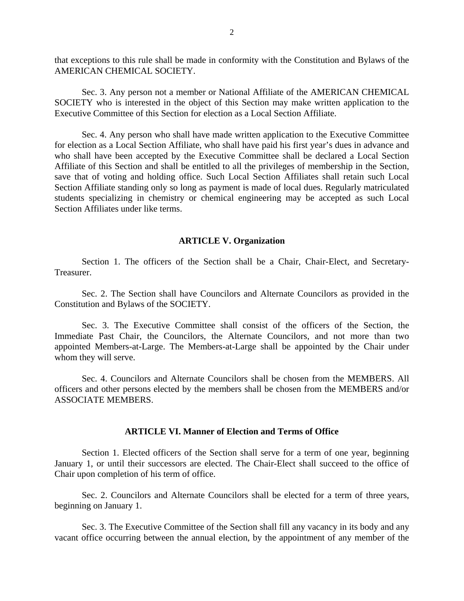that exceptions to this rule shall be made in conformity with the Constitution and Bylaws of the AMERICAN CHEMICAL SOCIETY.

 Sec. 3. Any person not a member or National Affiliate of the AMERICAN CHEMICAL SOCIETY who is interested in the object of this Section may make written application to the Executive Committee of this Section for election as a Local Section Affiliate.

 Sec. 4. Any person who shall have made written application to the Executive Committee for election as a Local Section Affiliate, who shall have paid his first year's dues in advance and who shall have been accepted by the Executive Committee shall be declared a Local Section Affiliate of this Section and shall be entitled to all the privileges of membership in the Section, save that of voting and holding office. Such Local Section Affiliates shall retain such Local Section Affiliate standing only so long as payment is made of local dues. Regularly matriculated students specializing in chemistry or chemical engineering may be accepted as such Local Section Affiliates under like terms.

#### **ARTICLE V. Organization**

 Section 1. The officers of the Section shall be a Chair, Chair-Elect, and Secretary-Treasurer.

 Sec. 2. The Section shall have Councilors and Alternate Councilors as provided in the Constitution and Bylaws of the SOCIETY.

 Sec. 3. The Executive Committee shall consist of the officers of the Section, the Immediate Past Chair, the Councilors, the Alternate Councilors, and not more than two appointed Members-at-Large. The Members-at-Large shall be appointed by the Chair under whom they will serve.

 Sec. 4. Councilors and Alternate Councilors shall be chosen from the MEMBERS. All officers and other persons elected by the members shall be chosen from the MEMBERS and/or ASSOCIATE MEMBERS.

## **ARTICLE VI. Manner of Election and Terms of Office**

 Section 1. Elected officers of the Section shall serve for a term of one year, beginning January 1, or until their successors are elected. The Chair-Elect shall succeed to the office of Chair upon completion of his term of office.

 Sec. 2. Councilors and Alternate Councilors shall be elected for a term of three years, beginning on January 1.

 Sec. 3. The Executive Committee of the Section shall fill any vacancy in its body and any vacant office occurring between the annual election, by the appointment of any member of the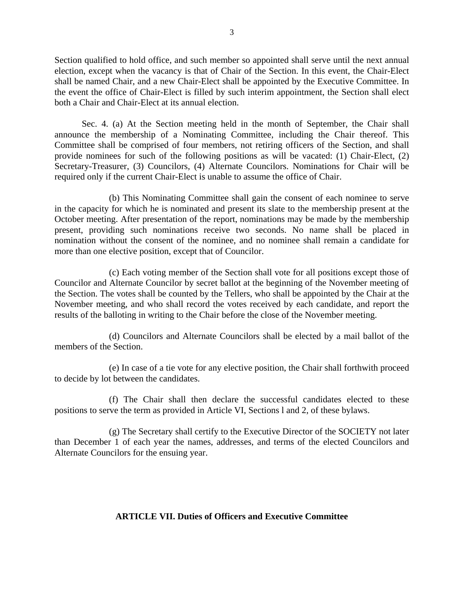Section qualified to hold office, and such member so appointed shall serve until the next annual election, except when the vacancy is that of Chair of the Section. In this event, the Chair-Elect shall be named Chair, and a new Chair-Elect shall be appointed by the Executive Committee. In the event the office of Chair-Elect is filled by such interim appointment, the Section shall elect both a Chair and Chair-Elect at its annual election.

 Sec. 4. (a) At the Section meeting held in the month of September, the Chair shall announce the membership of a Nominating Committee, including the Chair thereof. This Committee shall be comprised of four members, not retiring officers of the Section, and shall provide nominees for such of the following positions as will be vacated: (1) Chair-Elect, (2) Secretary-Treasurer, (3) Councilors, (4) Alternate Councilors. Nominations for Chair will be required only if the current Chair-Elect is unable to assume the office of Chair.

 (b) This Nominating Committee shall gain the consent of each nominee to serve in the capacity for which he is nominated and present its slate to the membership present at the October meeting. After presentation of the report, nominations may be made by the membership present, providing such nominations receive two seconds. No name shall be placed in nomination without the consent of the nominee, and no nominee shall remain a candidate for more than one elective position, except that of Councilor.

 (c) Each voting member of the Section shall vote for all positions except those of Councilor and Alternate Councilor by secret ballot at the beginning of the November meeting of the Section. The votes shall be counted by the Tellers, who shall be appointed by the Chair at the November meeting, and who shall record the votes received by each candidate, and report the results of the balloting in writing to the Chair before the close of the November meeting.

 (d) Councilors and Alternate Councilors shall be elected by a mail ballot of the members of the Section.

 (e) In case of a tie vote for any elective position, the Chair shall forthwith proceed to decide by lot between the candidates.

 (f) The Chair shall then declare the successful candidates elected to these positions to serve the term as provided in Article VI, Sections l and 2, of these bylaws.

 (g) The Secretary shall certify to the Executive Director of the SOCIETY not later than December 1 of each year the names, addresses, and terms of the elected Councilors and Alternate Councilors for the ensuing year.

### **ARTICLE VII. Duties of Officers and Executive Committee**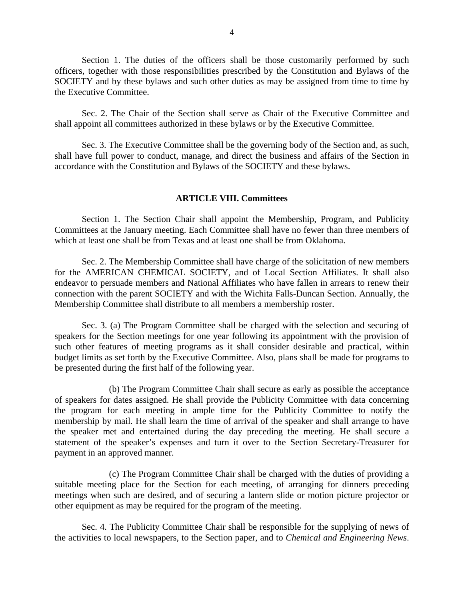Section 1. The duties of the officers shall be those customarily performed by such officers, together with those responsibilities prescribed by the Constitution and Bylaws of the SOCIETY and by these bylaws and such other duties as may be assigned from time to time by the Executive Committee.

 Sec. 2. The Chair of the Section shall serve as Chair of the Executive Committee and shall appoint all committees authorized in these bylaws or by the Executive Committee.

 Sec. 3. The Executive Committee shall be the governing body of the Section and, as such, shall have full power to conduct, manage, and direct the business and affairs of the Section in accordance with the Constitution and Bylaws of the SOCIETY and these bylaws.

#### **ARTICLE VIII. Committees**

 Section 1. The Section Chair shall appoint the Membership, Program, and Publicity Committees at the January meeting. Each Committee shall have no fewer than three members of which at least one shall be from Texas and at least one shall be from Oklahoma.

 Sec. 2. The Membership Committee shall have charge of the solicitation of new members for the AMERICAN CHEMICAL SOCIETY, and of Local Section Affiliates. It shall also endeavor to persuade members and National Affiliates who have fallen in arrears to renew their connection with the parent SOCIETY and with the Wichita Falls-Duncan Section. Annually, the Membership Committee shall distribute to all members a membership roster.

 Sec. 3. (a) The Program Committee shall be charged with the selection and securing of speakers for the Section meetings for one year following its appointment with the provision of such other features of meeting programs as it shall consider desirable and practical, within budget limits as set forth by the Executive Committee. Also, plans shall be made for programs to be presented during the first half of the following year.

 (b) The Program Committee Chair shall secure as early as possible the acceptance of speakers for dates assigned. He shall provide the Publicity Committee with data concerning the program for each meeting in ample time for the Publicity Committee to notify the membership by mail. He shall learn the time of arrival of the speaker and shall arrange to have the speaker met and entertained during the day preceding the meeting. He shall secure a statement of the speaker's expenses and turn it over to the Section Secretary-Treasurer for payment in an approved manner.

 (c) The Program Committee Chair shall be charged with the duties of providing a suitable meeting place for the Section for each meeting, of arranging for dinners preceding meetings when such are desired, and of securing a lantern slide or motion picture projector or other equipment as may be required for the program of the meeting.

 Sec. 4. The Publicity Committee Chair shall be responsible for the supplying of news of the activities to local newspapers, to the Section paper, and to *Chemical and Engineering News*.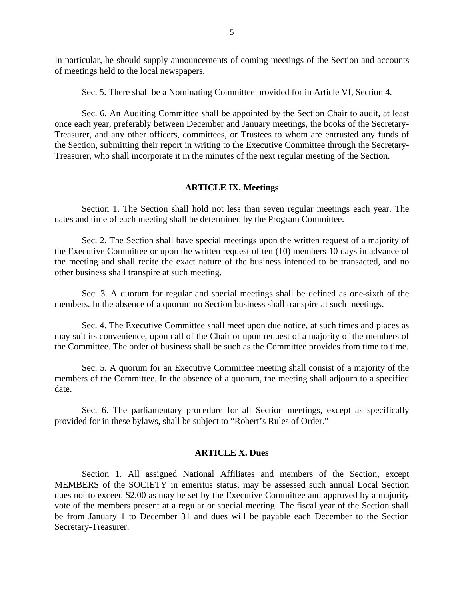In particular, he should supply announcements of coming meetings of the Section and accounts of meetings held to the local newspapers.

Sec. 5. There shall be a Nominating Committee provided for in Article VI, Section 4.

 Sec. 6. An Auditing Committee shall be appointed by the Section Chair to audit, at least once each year, preferably between December and January meetings, the books of the Secretary-Treasurer, and any other officers, committees, or Trustees to whom are entrusted any funds of the Section, submitting their report in writing to the Executive Committee through the Secretary-Treasurer, who shall incorporate it in the minutes of the next regular meeting of the Section.

#### **ARTICLE IX. Meetings**

 Section 1. The Section shall hold not less than seven regular meetings each year. The dates and time of each meeting shall be determined by the Program Committee.

 Sec. 2. The Section shall have special meetings upon the written request of a majority of the Executive Committee or upon the written request of ten (10) members 10 days in advance of the meeting and shall recite the exact nature of the business intended to be transacted, and no other business shall transpire at such meeting.

 Sec. 3. A quorum for regular and special meetings shall be defined as one-sixth of the members. In the absence of a quorum no Section business shall transpire at such meetings.

 Sec. 4. The Executive Committee shall meet upon due notice, at such times and places as may suit its convenience, upon call of the Chair or upon request of a majority of the members of the Committee. The order of business shall be such as the Committee provides from time to time.

 Sec. 5. A quorum for an Executive Committee meeting shall consist of a majority of the members of the Committee. In the absence of a quorum, the meeting shall adjourn to a specified date.

 Sec. 6. The parliamentary procedure for all Section meetings, except as specifically provided for in these bylaws, shall be subject to "Robert's Rules of Order."

#### **ARTICLE X. Dues**

 Section 1. All assigned National Affiliates and members of the Section, except MEMBERS of the SOCIETY in emeritus status, may be assessed such annual Local Section dues not to exceed \$2.00 as may be set by the Executive Committee and approved by a majority vote of the members present at a regular or special meeting. The fiscal year of the Section shall be from January 1 to December 31 and dues will be payable each December to the Section Secretary-Treasurer.